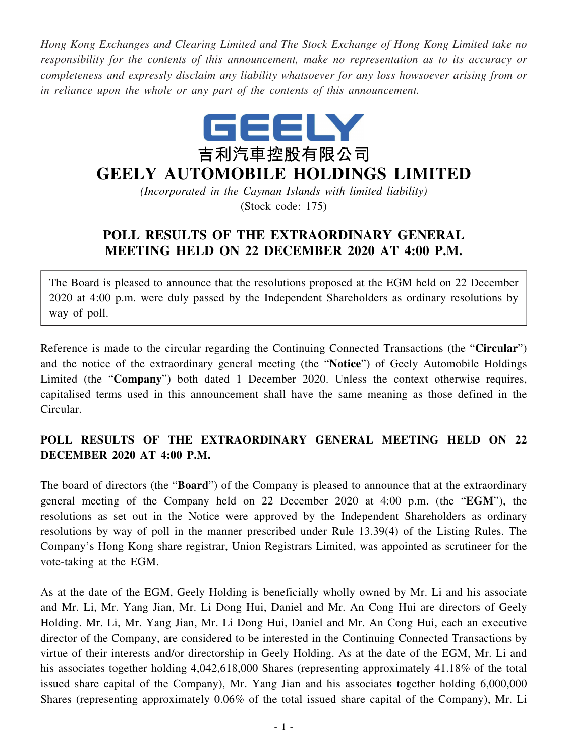*Hong Kong Exchanges and Clearing Limited and The Stock Exchange of Hong Kong Limited take no responsibility for the contents of this announcement, make no representation as to its accuracy or completeness and expressly disclaim any liability whatsoever for any loss howsoever arising from or in reliance upon the whole or any part of the contents of this announcement.*



## **GEELY AUTOMOBILE HOLDINGS LIMITED**

*(Incorporated in the Cayman Islands with limited liability)* (Stock code: 175)

## **POLL RESULTS OF THE EXTRAORDINARY GENERAL MEETING HELD ON 22 DECEMBER 2020 AT 4:00 P.M.**

The Board is pleased to announce that the resolutions proposed at the EGM held on 22 December 2020 at 4:00 p.m. were duly passed by the Independent Shareholders as ordinary resolutions by way of poll.

Reference is made to the circular regarding the Continuing Connected Transactions (the "**Circular**") and the notice of the extraordinary general meeting (the "**Notice**") of Geely Automobile Holdings Limited (the "**Company**") both dated 1 December 2020. Unless the context otherwise requires, capitalised terms used in this announcement shall have the same meaning as those defined in the Circular.

## **POLL RESULTS OF THE EXTRAORDINARY GENERAL MEETING HELD ON 22 DECEMBER 2020 AT 4:00 P.M.**

The board of directors (the "**Board**") of the Company is pleased to announce that at the extraordinary general meeting of the Company held on 22 December 2020 at 4:00 p.m. (the "**EGM**"), the resolutions as set out in the Notice were approved by the Independent Shareholders as ordinary resolutions by way of poll in the manner prescribed under Rule 13.39(4) of the Listing Rules. The Company's Hong Kong share registrar, Union Registrars Limited, was appointed as scrutineer for the vote-taking at the EGM.

As at the date of the EGM, Geely Holding is beneficially wholly owned by Mr. Li and his associate and Mr. Li, Mr. Yang Jian, Mr. Li Dong Hui, Daniel and Mr. An Cong Hui are directors of Geely Holding. Mr. Li, Mr. Yang Jian, Mr. Li Dong Hui, Daniel and Mr. An Cong Hui, each an executive director of the Company, are considered to be interested in the Continuing Connected Transactions by virtue of their interests and/or directorship in Geely Holding. As at the date of the EGM, Mr. Li and his associates together holding 4,042,618,000 Shares (representing approximately 41.18% of the total issued share capital of the Company), Mr. Yang Jian and his associates together holding 6,000,000 Shares (representing approximately 0.06% of the total issued share capital of the Company), Mr. Li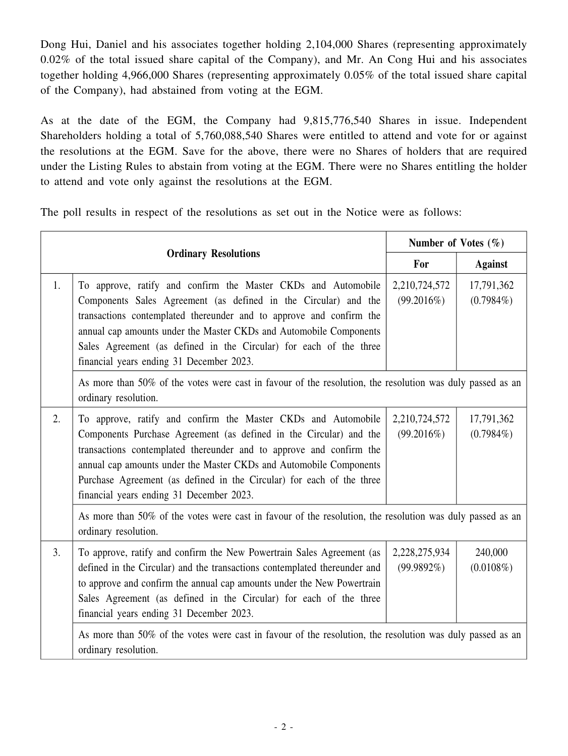Dong Hui, Daniel and his associates together holding 2,104,000 Shares (representing approximately 0.02% of the total issued share capital of the Company), and Mr. An Cong Hui and his associates together holding 4,966,000 Shares (representing approximately 0.05% of the total issued share capital of the Company), had abstained from voting at the EGM.

As at the date of the EGM, the Company had 9,815,776,540 Shares in issue. Independent Shareholders holding a total of 5,760,088,540 Shares were entitled to attend and vote for or against the resolutions at the EGM. Save for the above, there were no Shares of holders that are required under the Listing Rules to abstain from voting at the EGM. There were no Shares entitling the holder to attend and vote only against the resolutions at the EGM.

The poll results in respect of the resolutions as set out in the Notice were as follows:

|                             |                                                                                                                                                                                                                                                                                                                                                                                                       |                                | Number of Votes $(\% )$    |  |
|-----------------------------|-------------------------------------------------------------------------------------------------------------------------------------------------------------------------------------------------------------------------------------------------------------------------------------------------------------------------------------------------------------------------------------------------------|--------------------------------|----------------------------|--|
| <b>Ordinary Resolutions</b> |                                                                                                                                                                                                                                                                                                                                                                                                       | For                            | <b>Against</b>             |  |
| 1.                          | To approve, ratify and confirm the Master CKDs and Automobile<br>Components Sales Agreement (as defined in the Circular) and the<br>transactions contemplated thereunder and to approve and confirm the<br>annual cap amounts under the Master CKDs and Automobile Components<br>Sales Agreement (as defined in the Circular) for each of the three<br>financial years ending 31 December 2023.       | 2,210,724,572<br>(99.2016%)    | 17,791,362<br>$(0.7984\%)$ |  |
|                             | As more than 50% of the votes were cast in favour of the resolution, the resolution was duly passed as an<br>ordinary resolution.                                                                                                                                                                                                                                                                     |                                |                            |  |
| 2.                          | To approve, ratify and confirm the Master CKDs and Automobile<br>Components Purchase Agreement (as defined in the Circular) and the<br>transactions contemplated thereunder and to approve and confirm the<br>annual cap amounts under the Master CKDs and Automobile Components<br>Purchase Agreement (as defined in the Circular) for each of the three<br>financial years ending 31 December 2023. | 2,210,724,572<br>(99.2016%)    | 17,791,362<br>$(0.7984\%)$ |  |
|                             | As more than 50% of the votes were cast in favour of the resolution, the resolution was duly passed as an<br>ordinary resolution.                                                                                                                                                                                                                                                                     |                                |                            |  |
| 3.                          | To approve, ratify and confirm the New Powertrain Sales Agreement (as<br>defined in the Circular) and the transactions contemplated thereunder and<br>to approve and confirm the annual cap amounts under the New Powertrain<br>Sales Agreement (as defined in the Circular) for each of the three<br>financial years ending 31 December 2023.                                                        | 2,228,275,934<br>$(99.9892\%)$ | 240,000<br>$(0.0108\%)$    |  |
|                             | As more than 50% of the votes were cast in favour of the resolution, the resolution was duly passed as an<br>ordinary resolution.                                                                                                                                                                                                                                                                     |                                |                            |  |